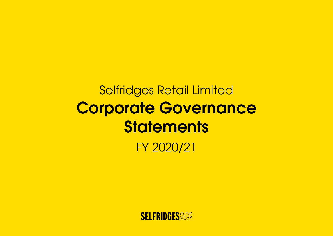# Selfridges Retail Limited Corporate Governance **Statements**

FY 2020/21

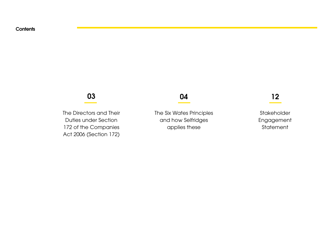# 03

The Directors and Their Duties under Section 172 of the Companies Act 2006 (Section 172)

# 04

The Six Wates Principles and how Selfridges applies these

# 12

Stakeholder Engagement **Statement**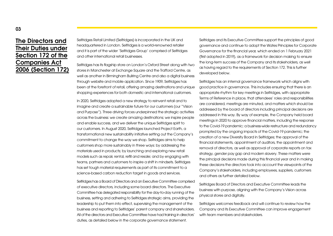#### The Directors and Their Duties under Section 172 of the Companies Act 2006 (Section 172)

Selfridges Retail Limited (Selfridges) is incorporated in the UK and headquartered in London. Selfridges is a world-renowned retailer and it is part of the wider 'Selfridges Group' comprised of Selfridges and other international retail businesses.

Selfridges has its flagship store on London's Oxford Street along with two stores in Manchester at Exchange Square and the Trafford Centre, as well as another in Birmingham Bullring Centre and also a digital business through website and mobile application. Since 1909, Selfridges has been at the forefront of retail, offering amazing destinations and unique shopping experiences for both domestic and international customers.

In 2020, Selfridges adopted a new strategy to reinvent retail and to imagine and create a sustainable future for our customers (our "Vision and Purpose"). Three driving forces underpinned the strategic activities across the business: we create amazing destinations; we inspire people and enable success, and we deliver the unique Selfridges spirit to our customers. In August 2020, Selfridges launched Project Earth, a transformational new sustainability initiative setting out the Company's commitment to change the way we shop. Selfridges aims to help customers shop more sustainably in three ways: by addressing the materials used in products; by launching and exploring new retail models such as repair, rental, refill and resale; and by engaging with teams, partners and customers to inspire a shift in mindsets. Selfridges has set tough material requirements as part of its commitment to a science-based carbon reduction target in goods and services.

Selfridges has a Board of Directors and an Executive Committee comprised of executive directors, including some board directors. The Executive Committee has delegated responsibility for the day-to-day running of the business, setting and adhering to Selfridges strategic aims, providing the leadership to put them into effect, supervising the management of the business and reporting to Selfridges' parent company and shareholders. All of the directors and Executive Committee have had training in directors' duties, as detailed below in the corporate governance statement.

Selfridges and its Executive Committee support the principles of good governance and continue to adopt the Wates Principles for Corporate Governance for the financial year, which ended on 1 February 2021 (first adopted in 2019), as a framework for decision making to ensure the long-term success of the Company and its stakeholders, as well as having regard to the requirements of Section 172. This is further developed below.

Selfridges has an internal governance framework which aligns with good practice in governance. This includes ensuring that there is an appropriate rhythm for key meetings in Selfridges, with appropriate Terms of Reference in place, that attendees' roles and responsibilities are considered, meetings are minuted, and matters which should be addressed by the board of directors including principal decisions are addressed in this way. By way of example, the Company held board meetings in 2020 to approve financial matters, including the response to the Covid-19 pandemic; a business-wide restructure and redundancy prompted by the ongoing impacts of the Covid-19 pandemic; the creation of a new Diversity Board in Selfridges; the approval of the financial statements, appointment of auditors, the appointment and removal of directors, as well as approval of corporate reports on tax strategy, gender pay gap and modern slavery. These matters were the principal decisions made during this financial year and in making these decisions the directors took into account the viewpoints of the Company's stakeholders, including employees, suppliers, customers and others as further detailed below.

Selfridges Board of Directors and Executive Committee leads the business with purpose, aligning with the Company's Vision across physical stores and digitally.

Selfridges welcomes feedback and will continue to review how the Company and its Executive Committee can improve engagement with team members and stakeholders.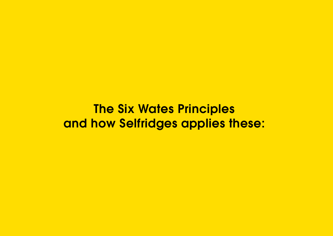**The Six Wates Principles** and how Selfridges applies these: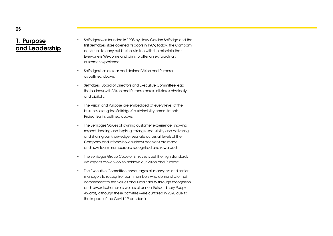#### 1. Purpose and Leadership

- Selfridges was founded in 1908 by Harry Gordon Selfridge and the first Selfridges store opened its doors in 1909; today, the Company continues to carry out business in line with the principle that Everyone is Welcome and aims to offer an extraordinary customer experience.
- Selfridges has a clear and defined Vision and Purpose, as outlined above.
- Selfridges' Board of Directors and Executive Committee lead the business with Vision and Purpose across all stores physically and digitally.
- The Vision and Purpose are embedded at every level of the business, alongside Selfridges' sustainability commitments, Project Earth, outlined above.
- The Selfridges Values of owning customer experience, showing respect, leading and inspiring, taking responsibility and delivering, and sharing our knowledge resonate across all levels of the Company and informs how business decisions are made and how team members are recognised and rewarded.
- The Selfridges Group Code of Ethics sets out the high standards we expect as we work to achieve our Vision and Purpose.
- The Executive Committee encourages all managers and senior managers to recognise team members who demonstrate their commitment to the Values and sustainability through recognition and reward schemes as well as bi-annual Extraordinary People Awards, although these activities were curtailed in 2020 due to the impact of the Covid-19 pandemic.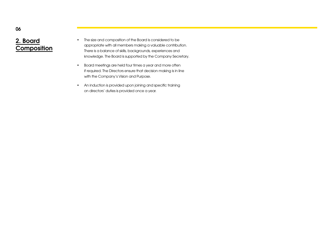#### 2. Board **Composition**

- The size and composition of the Board is considered to be appropriate with all members making a valuable contribution. There is a balance of skills, backgrounds, experiences and knowledge. The Board is supported by the Company Secretary.
- Board meetings are held four times a year and more often if required. The Directors ensure that decision making is in line with the Company's Vision and Purpose.
- An induction is provided upon joining and specific training on directors' duties is provided once a year.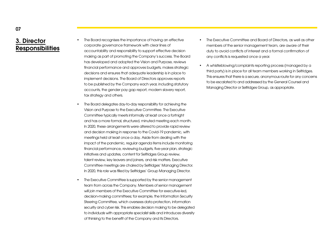#### 3. Director **Responsibilities**

- The Board recognises the importance of having an effective corporate governance framework with clear lines of accountability and responsibility to support effective decision making as part of promoting the Company's success. The Board has developed and adopted the Vision and Purpose, reviews financial performance and approves budgets, makes strategic decisions and ensures that adequate leadership is in place to implement decisions. The Board of Directors approves reports to be published by the Company each year, including statutory accounts, the gender pay gap report, modern slavery report, tax strategy and others.
- The Board delegates day-to-day responsibility for achieving the Vision and Purpose to the Executive Committee. The Executive Committee typically meets informally at least once a fortnight and has a more formal, structured, minuted meeting each month. In 2020, these arrangements were altered to provide rapid review and decision making in response to the Covid-19 pandemic, with meetings held at least once a day. Aside from dealing with the impact of the pandemic, regular agenda items include monitoring financial performance, reviewing budgets, five-year plan, strategic initiatives and updates, content for Selfridges Group review, talent review, key leavers and joiners, and risk matters. Executive Committee meetings are chaired by Selfridges' Managing Director. In 2020, this role was filled by Selfridges' Group Managing Director.
- The Executive Committee is supported by the senior management team from across the Company. Members of senior management will join members of the Executive Committee for executive-led. decision-making committees; for example, the Information Security Steering Committee, which oversees data protection, information security and cyber risk. This enables decision making to be delegated to individuals with appropriate specialist skills and introduces diversity of thinking to the benefit of the Company and its Directors.
- The Executive Committee and Board of Directors, as well as other members of the senior management team, are aware of their duty to avoid conflicts of interest and a formal confirmation of any conflicts is requested once a year.
- A whistleblowing/complaints reporting process (managed by a third party) is in place for all team members working in Selfridges. This ensures that there is a secure, anonymous route for any concerns to be escalated to and addressed by the General Counsel and Managing Director or Selfridges Group, as appropriate.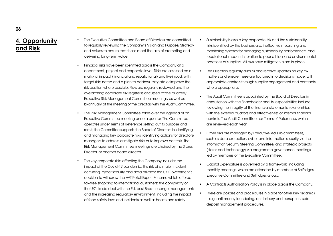# 4. Opportunity and Risk

- The Executive Committee and Board of Directors are committed to regularly reviewing the Company's Vision and Purpose, Strategy and Values to ensure that these meet the aim of promoting and delivering long-term value.
- Principal risks have been identified across the Company at a department, project and corporate level. Risks are assessed on a matrix of impact (financial and reputational) and likelihood, with target risks noted and a plan to address, mitigate or improve the risk position where possible. Risks are regularly reviewed and the overarching corporate risk register is discussed at the quarterly Executive Risk Management Committee meetings, as well as bi-annually at the meeting of the directors with the Audit Committee.
- The Risk Management Committee takes over the agenda of an Executive Committee meeting once a quarter. The Committee operates under Terms of Reference setting out its purpose and remit; the Committee supports the Board of Directors in identifying and managing key corporate risks, identifying actions for directors/ managers to address or mitigate risks or to improve controls. The Risk Management Committee meetings are chaired by the Stores Director, or another board director.
- The key corporate risks affecting the Company include: the impact of the Covid-19 pandemic; the risk of a major incident occurring, cyber security and data privacy; the UK Government's decision to withdraw the VAT Retail Export Scheme which offered tax-free shopping to international customers; the complexity of the UK's trade deal with the EU, post-Brexit; change management; and the increasing regulatory environment, including the impact of food safety laws and incidents as well as health and safety.
- Sustainability is also a key corporate risk and the sustainability risks identified by the business are: ineffective measuring and monitoring systems for managing sustainability performance, and reputational impacts in relation to poor ethical and environmental practices of suppliers. All risks have mitigation plans in place.
- The Directors regularly discuss and receive updates on key risk matters and ensure these are factored into decisions made, with appropriate controls through supplier engagement and contracts where appropriate.
- The Audit Committee is appointed by the Board of Directors in consultation with the Shareholder and its responsibilities include reviewing the integrity of the financial statements, relationships with the external auditors and effectiveness of internal financial controls. The Audit Committee has Terms of Reference, which are reviewed each year.
- Other risks are managed by Executive-led sub-committees, such as data protection, cyber and information security via the Information Security Steering Committee; and strategic projects (stores and technology) via programme governance meetings led by members of the Executive Committee.
- Capital Expenditure is governed by a framework, including monthly meetings, which are attended by members of Selfridges Executive Committee and Selfridges Group.
- A Contracts Authorisation Policy is in place across the Company.
- There are policies and procedures in place for other key risk areas – e.g. anti-money laundering, anti-bribery and corruption, safe deposit management procedures.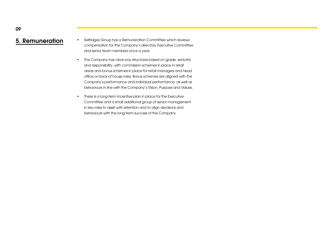- **5. Remuneration** Selfridges Group has a Remuneration Committee which reviews compensation for the Company's directors, Executive Committee and senior team members once a year.
	- The Company has clear pay structures based on grade, seniority and responsibility, with commission schemes in place in retail areas and bonus schemes in place for retail managers and head office or back of house roles. Bonus schemes are aligned with the Company's performance and individual performance, as well as behaviours in line with the Company's Vision, Purpose and Values.
	- There is a long-term incentive plan in place for the Executive Committee and a small additional group of senior management in key roles to assist with retention and to align decisions and behaviours with the long-term success of the Company.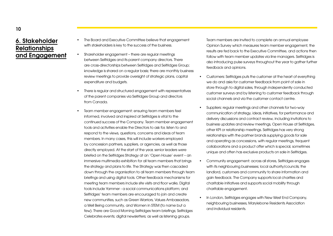#### 6. Stakeholder Relationships and Engagement

- The Board and Executive Committee believe that engagement with stakeholders is key to the success of the business.
- Shareholder engagement there are regular meetings between Selfridges and its parent company directors. There are cross-directorships between Selfridges and Selfridges Group; knowledge is shared on a regular basis; there are monthly business review meetings to provide oversight of strategic plans, capital expenditure and budgets.
- There is regular and structured engagement with representatives of the parent companies via Selfridges Group and directors from Canada.
- Team member engagement: ensuring team members feel informed, involved and inspired at Selfridges is vital to the continued success of the Company. Team member engagement tools and activities enable the Directors to ask for, listen to and respond to the views, questions, concerns and ideas of team members. In many cases, this will include workers employed by concession partners, suppliers, or agencies, as well as those directly employed. At the start of the year, senior leaders were briefed on the Selfridges Strategy at an 'Open House' event – an immersive multimedia exhibition for all team members that brings the strategy and plans to life. The Strategy was then cascaded down through the organisation to all team members through team briefings and using digital tools. Other feedback mechanisms for meeting team members include site visits and floor walks. Digital tools include Yammer - a social communications platform; and Selfridges' team members are encouraged to join and create new communities, such as Green Warriors, Values Ambassadors, a Well Being community, and Women in STEM (to name but a few). There are Good Morning Selfridges team briefings; Selfridges Celebrates events; digital newsletters; as well as listening groups.

Team members are invited to complete an annual employee Opinion Survey which measures team member engagement, the results are fed back to the Executive Committee, and actions then follow with team member updates via line managers. Selfridges is also introducing pulse surveys throughout the year to gather further feedback and opinions.

- Customers: Selfridges puts the customer at the heart of everything we do and asks for customer feedback from point of sale in store through to digital sales, through independently conducted customer surveys and by listening to customer feedback through social channels and via the customer contact centre.
- Suppliers: regular meetings and other channels for two-way communication of strategy, ideas, initiatives, for performance and delivery discussions and contract review, including invitations to business updates and review meetings, Open House at Selfridges, other KPI or relationship meetings. Selfridges has very strong relationships with the partner brands supplying goods for sale and operating as concessions, with regular meetings, frequent collaborations and a product offer which is special, sometimes unique and often has exclusive products on sale in Selfridges.
- Community engagement: across all stores, Selfridges engages with its neighbouring businesses; local authority/councils; the landlord, customers and community to share information and gain feedback. The Company supports local charities and charitable initiatives and supports social mobility through charitable engagement.
- In London, Selfridges engages with New West End Company, neighbouring businesses, Marylebone Residents Association and individual residents.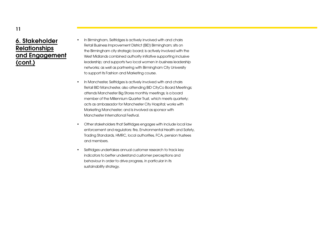### 6. Stakeholder **Relationships** and Engagement (cont.)

- In Birmingham, Selfridges is actively involved with and chairs Retail Business Improvement District (BID) Birmingham; sits on the Birmingham city strategic board; is actively involved with the West Midlands combined authority initiative supporting inclusive leadership; and supports two local women in business leadership networks; as well as partnering with Birmingham City University to support its Fashion and Marketing course.
- In Manchester, Selfridges is actively involved with and chairs Retail BID Manchester, also attending BID CityCo Board Meetings; attends Manchester Big Stores monthly meetings; is a board member of the Millennium Quarter Trust, which meets quarterly; acts as ambassador for Manchester City Hospital; works with Marketing Manchester; and is involved as sponsor with Manchester International Festival.
- Other stakeholders that Selfridges engages with include local law enforcement and regulators: fire, Environmental Health and Safety, Trading Standards, HMRC, local authorities, FCA, pension trustees and members.
- Selfridges undertakes annual customer research to track key indicators to better understand customer perceptions and behaviour in order to drive progress, in particular in its sustainability strategy.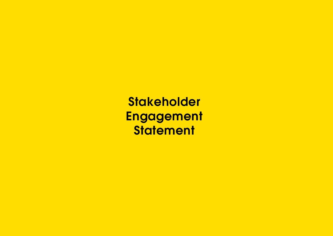**Stakeholder** Engagement **Statement**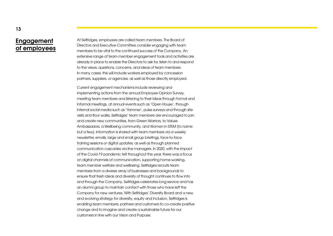#### Engagement of employees

At Selfridges, employees are called team members. The Board of Directors and Executive Committee consider engaging with team members to be vital to the continued success of the Company. An extensive range of team member engagement tools and activities are already in place to enable the Directors to ask for, listen to and respond to the views, questions, concerns, and ideas of team members. In many cases, this will include workers employed by concession partners, suppliers, or agencies, as well as those directly employed.

Current engagement mechanisms include reviewing and implementing actions from the annual Employee Opinion Survey, meeting team members and listening to their ideas through formal and informal meetings, at annual events such as 'Open House', through internal social media such as 'Yammer', pulse surveys and through site visits and floor walks. Selfridges' team members are encouraged to join and create new communities, from Green Warriors, to Values Ambassadors, a Wellbeing community, and Women in STEM (to name but a few). Information is shared with team members via a weekly newsletter, emails, large and small group briefings, face-to-face training sessions or digital updates, as well as through planned communication cascades via line managers. In 2020, with the impact of the Covid-19 pandemic felt throughout the year, there was a focus on digital channels of communication, supporting home-working, team member welfare and wellbeing. Selfridges recruits team members from a diverse array of businesses and backgrounds to ensure that fresh ideas and diversity of thought continues to flow into and through the Company. Selfridges celebrates long service and has an alumni group to maintain contact with those who have left the Company for new ventures. With Selfridges' Diversity Board and a new and evolving strategy for diversity, equity and inclusion, Selfridges is enabling team members, partners and customers to co-create positive change and to imagine and create a sustainable future for our customers in line with our Vision and Purpose.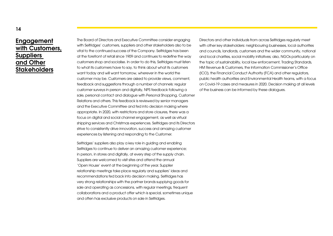#### Engagement with Customers, **Suppliers** and Other **Stakeholders**

The Board of Directors and Executive Committee consider engaging with Selfridges' customers, suppliers and other stakeholders also to be vital to the continued success of the Company. Selfridges has been at the forefront of retail since 1909 and continues to redefine the way customers shop and socialise. In order to do this, Selfridges must listen to what its customers have to say, to think about what its customers want today and will want tomorrow, wherever in the world the customer may be. Customers are asked to provide views, comment, feedback and suggestions through a number of channels: regular customer surveys in person and digitally, NPS feedback following a sale, personal contact and dialogue with Personal Shopping, Customer Relations and others. This feedback is reviewed by senior managers and the Executive Committee and fed into decision making where appropriate. In 2020, with restrictions and store closures, there was a focus on digital and social channel engagement, as well as virtual shipping services and Christmas experiences. Selfridges and its Directors strive to consistently drive innovation, success and amazing customer experiences by listening and responding to the Customer.

Selfridges' suppliers also play a key role in guiding and enabling Selfridges to continue to deliver an amazing customer experience; in person, in stores and digitally, at every step of the supply chain. Suppliers are welcomed to visit sites and attend the annual 'Open House' event at the beginning of the year. Supplier relationship meetings take place regularly and suppliers' ideas and recommendations fed back into decision making. Selfridges has very strong relationships with the partner brands supplying goods for sale and operating as concessions, with regular meetings, frequent collaborations and a product offer which is special, sometimes unique and often has exclusive products on sale in Selfridges.

Directors and other individuals from across Selfridges regularly meet with other key stakeholders: neighbouring businesses, local authorities and councils, landlords, customers and the wider community, national and local charities, social mobility initiatives; also, NGOs particularly on the topic of sustainability, local law enforcement, Trading Standards, HM Revenue & Customers, the Information Commissioner's Office (ICO), the Financial Conduct Authority (FCA) and other regulators, public health authorities and Environmental Health teams, with a focus on Covid-19 cases and measures in 2020. Decision making at all levels of the business can be informed by these dialogues.